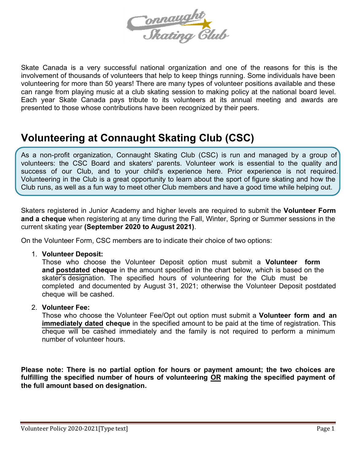

Skate Canada is a very successful national organization and one of the reasons for this is the involvement of thousands of volunteers that help to keep things running. Some individuals have been volunteering for more than 50 years! There are many types of volunteer positions available and these can range from playing music at a club skating session to making policy at the national board level. Each year Skate Canada pays tribute to its volunteers at its annual meeting and awards are presented to those whose contributions have been recognized by their peers.

# **Volunteering at Connaught Skating Club (CSC)**

As a non-profit organization, Connaught Skating Club (CSC) is run and managed by a group of volunteers: the CSC Board and skaters' parents. Volunteer work is essential to the quality and success of our Club, and to your child's experience here. Prior experience is not required. Volunteering in the Club is a great opportunity to learn about the sport of figure skating and how the Club runs, as well as a fun way to meet other Club members and have a good time while helping out.

Skaters registered in Junior Academy and higher levels are required to submit the **Volunteer Form and a cheque** when registering at any time during the Fall, Winter, Spring or Summer sessions in the current skating year **(September 2020 to August 2021)**.

On the Volunteer Form, CSC members are to indicate their choice of two options:

1. **Volunteer Deposit:**

Those who choose the Volunteer Deposit option must submit a **Volunteer form and postdated cheque** in the amount specified in the chart below, which is based on the skater's designation. The specified hours of volunteering for the Club must be completed and documented by August 31, 2021; otherwise the Volunteer Deposit postdated cheque will be cashed.

#### 2. **Volunteer Fee:**

Those who choose the Volunteer Fee/Opt out option must submit a **Volunteer form and an immediately dated cheque** in the specified amount to be paid at the time of registration. This cheque will be cashed immediately and the family is not required to perform a minimum number of volunteer hours.

**Please note: There is no partial option for hours or payment amount; the two choices are fulfilling the specified number of hours of volunteering OR making the specified payment of the full amount based on designation.**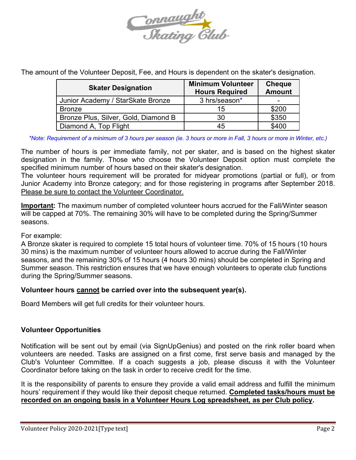

The amount of the Volunteer Deposit, Fee, and Hours is dependent on the skater's designation.

| <b>Skater Designation</b>            | <b>Minimum Volunteer</b><br><b>Hours Required</b> | <b>Cheque</b><br><b>Amount</b> |
|--------------------------------------|---------------------------------------------------|--------------------------------|
| Junior Academy / StarSkate Bronze    | 3 hrs/season*                                     |                                |
| <b>Bronze</b>                        | 15                                                | \$200                          |
| Bronze Plus, Silver, Gold, Diamond B | 30                                                | \$350                          |
| Diamond A, Top Flight                | 45                                                | \$400                          |

*\*Note: Requirement of a minimum of 3 hours per season (ie. 3 hours or more in Fall, 3 hours or more in Winter, etc.)*

The number of hours is per immediate family, not per skater, and is based on the highest skater designation in the family. Those who choose the Volunteer Deposit option must complete the specified minimum number of hours based on their skater's designation.

The volunteer hours requirement will be prorated for midyear promotions (partial or full), or from Junior Academy into Bronze category; and for those registering in programs after September 2018. Please be sure to contact the Volunteer Coordinator.

**Important:** The maximum number of completed volunteer hours accrued for the Fall/Winter season will be capped at 70%. The remaining 30% will have to be completed during the Spring/Summer seasons.

#### For example:

A Bronze skater is required to complete 15 total hours of volunteer time. 70% of 15 hours (10 hours 30 mins) is the maximum number of volunteer hours allowed to accrue during the Fall/Winter seasons, and the remaining 30% of 15 hours (4 hours 30 mins) should be completed in Spring and Summer season. This restriction ensures that we have enough volunteers to operate club functions during the Spring/Summer seasons.

#### **Volunteer hours cannot be carried over into the subsequent year(s).**

Board Members will get full credits for their volunteer hours.

#### **Volunteer Opportunities**

Notification will be sent out by email (via SignUpGenius) and posted on the rink roller board when volunteers are needed. Tasks are assigned on a first come, first serve basis and managed by the Club's Volunteer Committee. If a coach suggests a job, please discuss it with the Volunteer Coordinator before taking on the task in order to receive credit for the time.

It is the responsibility of parents to ensure they provide a valid email address and fulfill the minimum hours' requirement if they would like their deposit cheque returned. **Completed tasks/hours must be recorded on an ongoing basis in a Volunteer Hours Log spreadsheet, as per Club policy.**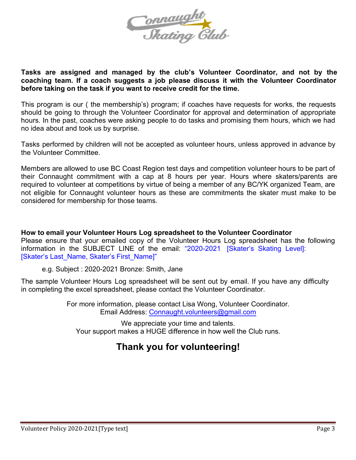

#### **Tasks are assigned and managed by the club's Volunteer Coordinator, and not by the coaching team. If a coach suggests a job please discuss it with the Volunteer Coordinator before taking on the task if you want to receive credit for the time.**

This program is our ( the membership's) program; if coaches have requests for works, the requests should be going to through the Volunteer Coordinator for approval and determination of appropriate hours. In the past, coaches were asking people to do tasks and promising them hours, which we had no idea about and took us by surprise.

Tasks performed by children will not be accepted as volunteer hours, unless approved in advance by the Volunteer Committee.

Members are allowed to use BC Coast Region test days and competition volunteer hours to be part of their Connaught commitment with a cap at 8 hours per year. Hours where skaters/parents are required to volunteer at competitions by virtue of being a member of any BC/YK organized Team, are not eligible for Connaught volunteer hours as these are commitments the skater must make to be considered for membership for those teams.

**How to email your Volunteer Hours Log spreadsheet to the Volunteer Coordinator**  Please ensure that your emailed copy of the Volunteer Hours Log spreadsheet has the following information in the SUBJECT LINE of the email: "2020-2021 [Skater's Skating Level]: [Skater's Last\_Name, Skater's First\_Name]"

e.g. Subject : 2020-2021 Bronze: Smith, Jane

The sample Volunteer Hours Log spreadsheet will be sent out by email. If you have any difficulty in completing the excel spreadsheet, please contact the Volunteer Coordinator.

> For more information, please contact Lisa Wong, Volunteer Coordinator. Email Address: Connaught.volunteers@gmail.com

We appreciate your time and talents. Your support makes a HUGE difference in how well the Club runs.

### **Thank you for volunteering!**